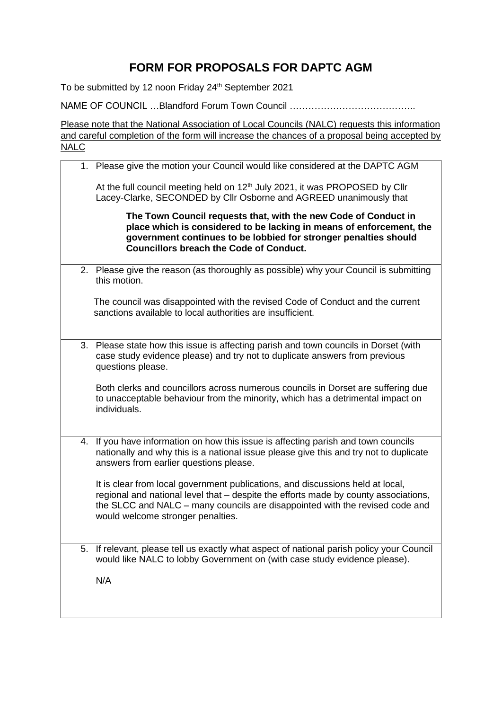## **FORM FOR PROPOSALS FOR DAPTC AGM**

To be submitted by 12 noon Friday 24<sup>th</sup> September 2021

NAME OF COUNCIL …Blandford Forum Town Council …………………………………..

Please note that the National Association of Local Councils (NALC) requests this information and careful completion of the form will increase the chances of a proposal being accepted by NALC

1. Please give the motion your Council would like considered at the DAPTC AGM At the full council meeting held on  $12<sup>th</sup>$  July 2021, it was PROPOSED by Cllr Lacey-Clarke, SECONDED by Cllr Osborne and AGREED unanimously that **The Town Council requests that, with the new Code of Conduct in place which is considered to be lacking in means of enforcement, the government continues to be lobbied for stronger penalties should Councillors breach the Code of Conduct.**  2. Please give the reason (as thoroughly as possible) why your Council is submitting this motion. The council was disappointed with the revised Code of Conduct and the current sanctions available to local authorities are insufficient. 3. Please state how this issue is affecting parish and town councils in Dorset (with case study evidence please) and try not to duplicate answers from previous questions please. Both clerks and councillors across numerous councils in Dorset are suffering due to unacceptable behaviour from the minority, which has a detrimental impact on individuals. 4. If you have information on how this issue is affecting parish and town councils nationally and why this is a national issue please give this and try not to duplicate answers from earlier questions please. It is clear from local government publications, and discussions held at local, regional and national level that – despite the efforts made by county associations, the SLCC and NALC – many councils are disappointed with the revised code and would welcome stronger penalties. 5. If relevant, please tell us exactly what aspect of national parish policy your Council would like NALC to lobby Government on (with case study evidence please). N/A